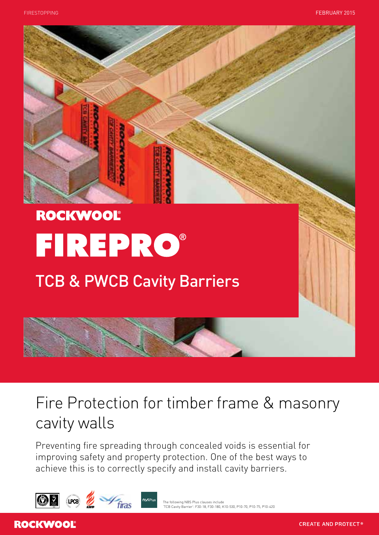

# Fire Protection for timber frame & masonry cavity walls

Preventing fire spreading through concealed voids is essential for improving safety and property protection. One of the best ways to achieve this is to correctly specify and install cavity barriers.







# **ROCKWOOL**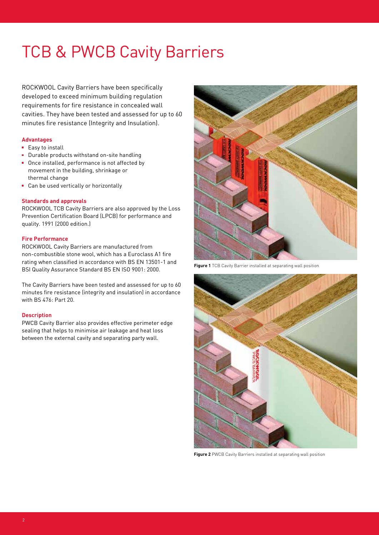Rockwool Cavity Barriers have been specifically developed to exceed minimum building regulation requirements for fire resistance in concealed wall cavities. They have been tested and assessed for up to 60 minutes fire resistance (Integrity and Insulation).

# **Advantages**

- Easy to install
- Durable products withstand on-site handling
- **Dance installed, performance is not affected by** movement in the building, shrinkage or thermal change
- **Can be used vertically or horizontally**

#### **Standards and approvals**

Rockwool TCB Cavity Barriers are also approved by the Loss Prevention Certification Board (LPCB) for performance and quality. 1991 (2000 edition.)

### **Fire Performance**

Rockwool Cavity Barriers are manufactured from non-combustible stone wool, which has a Euroclass A1 fire rating when classified in accordance with BS EN 13501-1 and BSI Quality Assurance Standard BS EN ISO 9001: 2000.

The Cavity Barriers have been tested and assessed for up to 60 minutes fire resistance (integrity and insulation) in accordance with BS 476: Part 20.

#### **Description**

PWCB Cavity Barrier also provides effective perimeter edge sealing that helps to minimise air leakage and heat loss between the external cavity and separating party wall.



**Figure 1** TCB Cavity Barrier installed at separating wall position



**Figure 2** PWCB Cavity Barriers installed at separating wall position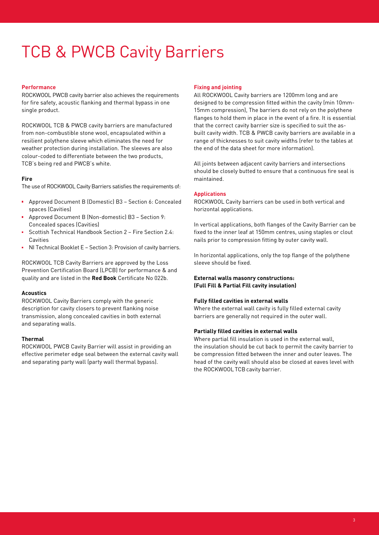## **Performance**

Rockwool PWCB cavity barrier also achieves the requirements for fire safety, acoustic flanking and thermal bypass in one single product.

ROCKWOOL TCB & PWCB cavity barriers are manufactured from non-combustible stone wool, encapsulated within a resilient polythene sleeve which eliminates the need for weather protection during installation. The sleeves are also colour-coded to differentiate between the two products, TCB's being red and PWCB's white.

# **Fire**

The use of ROCKWOOL Cavity Barriers satisfies the requirements of:

- Approved Document B (Domestic) B3 Section 6: Concealed spaces (Cavities)
- Approved Document B (Non-domestic) B3 Section 9: Concealed spaces (Cavities)
- Scottish Technical Handbook Section 2 Fire Section 2.4: Cavities
- NI Technical Booklet E Section 3: Provision of cavity barriers.

Rockwool TCB Cavity Barriers are approved by the Loss Prevention Certification Board (LPCB) for performance & and quality and are listed in the **Red Book** Certificate No 022b.

#### **Acoustics**

Rockwool Cavity Barriers comply with the generic description for cavity closers to prevent flanking noise transmission, along concealed cavities in both external and separating walls.

# **Thermal**

Rockwool PWCB Cavity Barrier will assist in providing an effective perimeter edge seal between the external cavity wall and separating party wall (party wall thermal bypass).

#### **Fixing and jointing**

All Rockwool Cavity barriers are 1200mm long and are designed to be compression fitted within the cavity (min 10mm-15mm compression), The barriers do not rely on the polythene flanges to hold them in place in the event of a fire. It is essential that the correct cavity barrier size is specified to suit the asbuilt cavity width. TCB & PWCB cavity barriers are available in a range of thicknesses to suit cavity widths (refer to the tables at the end of the data sheet for more information).

All joints between adjacent cavity barriers and intersections should be closely butted to ensure that a continuous fire seal is maintained.

### **Applications**

Rockwool Cavity barriers can be used in both vertical and horizontal applications.

In vertical applications, both flanges of the Cavity Barrier can be fixed to the inner leaf at 150mm centres, using staples or clout nails prior to compression fitting by outer cavity wall.

In horizontal applications, only the top flange of the polythene sleeve should be fixed.

**External walls masonry constructions: (Full Fill & Partial Fill cavity insulation)** 

#### **Fully filled cavities in external walls**

Where the external wall cavity is fully filled external cavity barriers are generally not required in the outer wall.

#### **Partially filled cavities in external walls**

Where partial fill insulation is used in the external wall, the insulation should be cut back to permit the cavity barrier to be compression fitted between the inner and outer leaves. The head of the cavity wall should also be closed at eaves level with the ROCKWOOL TCB cavity barrier.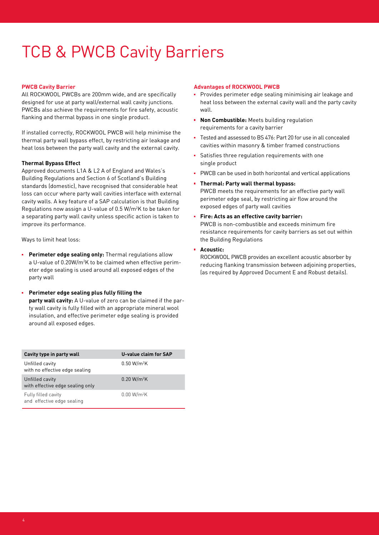# **PWCB Cavity Barrier**

All Rockwool PWCBs are 200mm wide, and are specifically designed for use at party wall/external wall cavity junctions. PWCBs also achieve the requirements for fire safety, acoustic flanking and thermal bypass in one single product.

If installed correctly, ROCKWOOL PWCB will help minimise the thermal party wall bypass effect, by restricting air leakage and heat loss between the party wall cavity and the external cavity.

### **Thermal Bypass Effect**

Approved documents L1A & L2 A of England and Wales's Building Regulations and Section 6 of Scotland's Building standards (domestic), have recognised that considerable heat loss can occur where party wall cavities interface with external cavity walls. A key feature of a SAP calculation is that Building Regulations now assign a U-value of 0.5 W/m2 K to be taken for a separating party wall cavity unless specific action is taken to improve its performance.

Ways to limit heat loss:

- **Perimeter edge sealing only:** Thermal regulations allow a U-value of 0.20W/m2 K to be claimed when effective perimeter edge sealing is used around all exposed edges of the party wall
- **Perimeter edge sealing plus fully filling the party wall cavity:** A U-value of zero can be claimed if the party wall cavity is fully filled with an appropriate mineral wool insulation, and effective perimeter edge sealing is provided around all exposed edges.

| Cavity type in party wall                           | U-value claim for SAP   |
|-----------------------------------------------------|-------------------------|
| Unfilled cavity<br>with no effective edge sealing   | 0.50 W/m <sup>2</sup> K |
| Unfilled cavity<br>with effective edge sealing only | 0.20 W/m <sup>2</sup> K |
| Fully filled cavity<br>and effective edge sealing   | $0.00 W/m^2K$           |

### **Advantages of ROCKWOOL PWCB**

- **Provides perimeter edge sealing minimising air leakage and** heat loss between the external cavity wall and the party cavity wall
- **Non Combustible:** Meets building regulation requirements for a cavity barrier
- Tested and assessed to BS 476: Part 20 for use in all concealed cavities within masonry & timber framed constructions
- Satisfies three regulation requirements with one single product
- **PWCB** can be used in both horizontal and vertical applications
- **Thermal: Party wall thermal bypass:** PWCB meets the requirements for an effective party wall perimeter edge seal, by restricting air flow around the exposed edges of party wall cavities
- **Fire: Acts as an effective cavity barrier:** PWCB is non-combustible and exceeds minimum fire resistance requirements for cavity barriers as set out within the Building Regulations
- **Acoustic:**

ROCKWOOL PWCB provides an excellent acoustic absorber by reducing flanking transmission between adjoining properties, (as required by Approved Document E and Robust details).